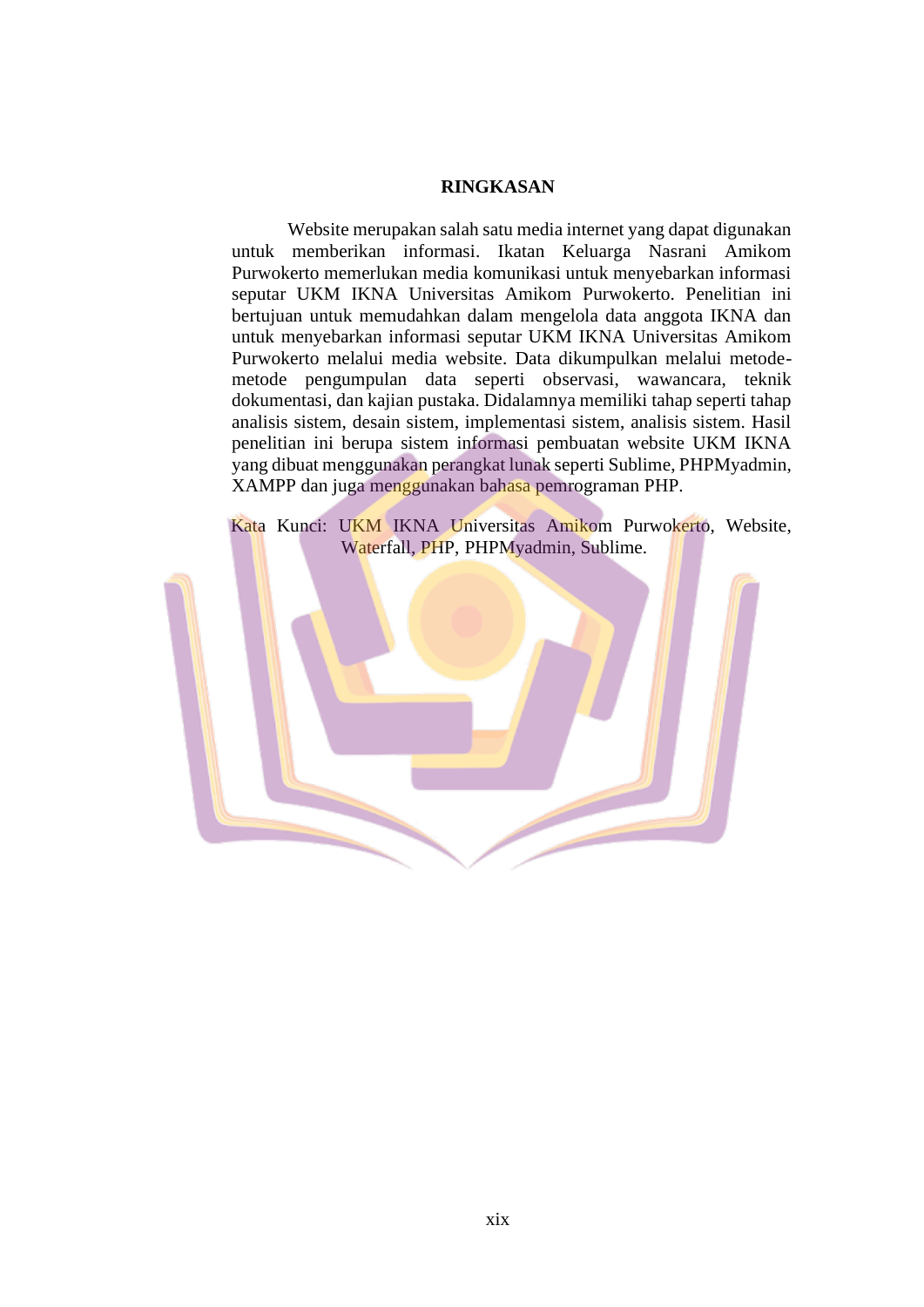## **RINGKASAN**

Website merupakan salah satu media internet yang dapat digunakan untuk memberikan informasi. Ikatan Keluarga Nasrani Amikom Purwokerto memerlukan media komunikasi untuk menyebarkan informasi seputar UKM IKNA Universitas Amikom Purwokerto. Penelitian ini bertujuan untuk memudahkan dalam mengelola data anggota IKNA dan untuk menyebarkan informasi seputar UKM IKNA Universitas Amikom Purwokerto melalui media website. Data dikumpulkan melalui metodemetode pengumpulan data seperti observasi, wawancara, teknik dokumentasi, dan kajian pustaka. Didalamnya memiliki tahap seperti tahap analisis sistem, desain sistem, implementasi sistem, analisis sistem. Hasil penelitian ini berupa sistem informasi pembuatan website UKM IKNA yang dibuat menggunakan perangkat lunak seperti Sublime, PHPMyadmin, XAMPP dan juga menggunakan bahasa pemrograman PHP.

Kata Kunci: UKM IKNA Universitas Amikom Purwokerto, Website, Waterfall, PHP, PHPMyadmin, Sublime.